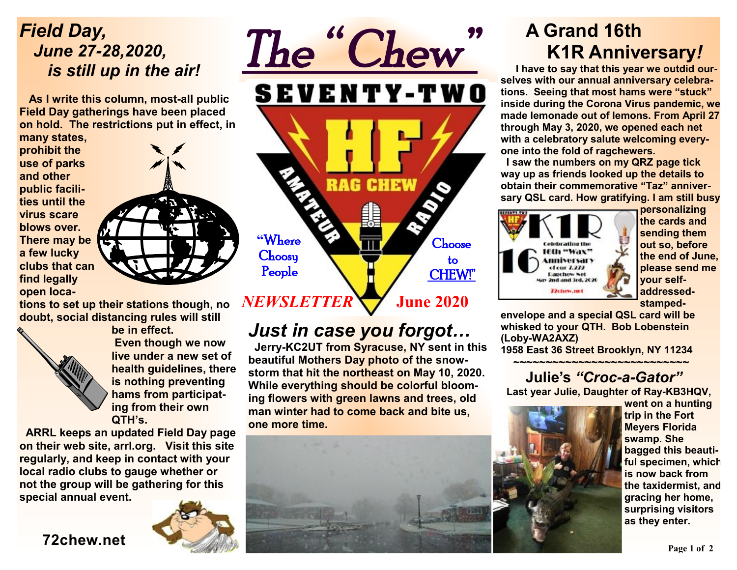### *Field Day, June 27-28,2020, is still up in the air!*

 **As I write this column, most-all public Field Day gatherings have been placed on hold. The restrictions put in effect, in** 

**many states, prohibit the use of parks and other public facilities until the virus scare blows over. There may be a few lucky clubs that can find legally open loca-**



**tions to set up their stations though, no doubt, social distancing rules will still** 



**be in effect. Even though we now live under a new set of health guidelines, there is nothing preventing hams from participating from their own QTH's.** 

**ARRL keeps an updated Field Day page on their web site, arrl.org. Visit this site regularly, and keep in contact with your local radio clubs to gauge whether or not the group will be gathering for this special annual event.** 



# *The " Chew"*  **SEVENTY-TWO** RAG **CHEW "**Where Choose **Choosy**  to People CHEW!"

 **June 2020** *NEWSLETTER* 

### *Just in case you forgot…*

 **Jerry-KC2UT from Syracuse, NY sent in this beautiful Mothers Day photo of the snowstorm that hit the northeast on May 10, 2020. While everything should be colorful blooming flowers with green lawns and trees, old man winter had to come back and bite us, one more time.** 

## **A Grand 16th K1R Anniversary***!*

 **I have to say that this year we outdid ourselves with our annual anniversary celebrations. Seeing that most hams were "stuck" inside during the Corona Virus pandemic, we made lemonade out of lemons. From April 27 through May 3, 2020, we opened each net with a celebratory salute welcoming everyone into the fold of ragchewers.** 

**I saw the numbers on my QRZ page tick way up as friends looked up the details to obtain their commemorative "Taz" anniversary QSL card. How gratifying. I am still busy** 



**personalizing the cards and sending them out so, before the end of June, please send me your selfaddressed-**

**stamped-**

**envelope and a special QSL card will be whisked to your QTH. Bob Lobenstein (Loby-WA2AXZ) 1958 East 36 Street Brooklyn, NY 11234** 

#### **~~~~~~~~~~~~~~~~~~~~~~~~~~~ Julie's** *"Croc-a-Gator"*

 **Last year Julie, Daughter of Ray-KB3HQV,** 



**went on a hunting trip in the Fort Meyers Florida swamp. She bagged this beautiful specimen, which is now back from the taxidermist, and gracing her home, surprising visitors as they enter.** 

### **72chew.net**